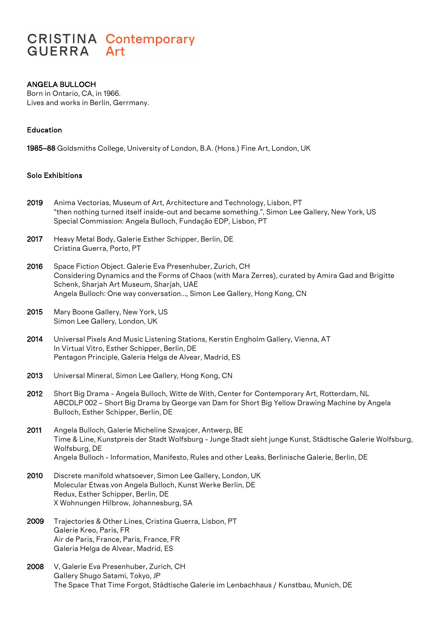# **CRISTINA Contemporary GUERRA** Art

## ANGELA BULLOCH

Born in Ontario, CA, in 1966. Lives and works in Berlin, Gerrmany.

# Education

1985–88 Goldsmiths College, University of London, B.A. (Hons.) Fine Art, London, UK

### Solo Exhibitions

- 2019 Anima Vectorias, Museum of Art, Architecture and Technology, Lisbon, PT "then nothing turned itself inside-out and became something.", Simon Lee Gallery, New York, US Special Commission: Angela Bulloch, Fundação EDP, Lisbon, PT
- 2017 Heavy Metal Body, Galerie Esther Schipper, Berlin, DE Cristina Guerra, Porto, PT
- 2016 Space Fiction Object. Galerie Eva Presenhuber, Zurich, CH Considering Dynamics and the Forms of Chaos (with Mara Zerres), curated by Amira Gad and Brigitte Schenk, Sharjah Art Museum, Sharjah, UAE Angela Bulloch: One way conversation..., Simon Lee Gallery, Hong Kong, CN
- 2015 Mary Boone Gallery, New York, US Simon Lee Gallery, London, UK
- 2014 Universal Pixels And Music Listening Stations, Kerstin Engholm Gallery, Vienna, AT In Virtual Vitro, Esther Schipper, Berlin, DE Pentagon Principle, Galeria Helga de Alvear, Madrid, ES
- 2013 Universal Mineral, Simon Lee Gallery, Hong Kong, CN
- 2012 Short Big Drama Angela Bulloch, Witte de With, Center for Contemporary Art, Rotterdam, NL ABCDLP 002 – Short Big Drama by George van Dam for Short Big Yellow Drawing Machine by Angela Bulloch, Esther Schipper, Berlin, DE
- 2011 Angela Bulloch, Galerie Micheline Szwajcer, Antwerp, BE Time & Line, Kunstpreis der Stadt Wolfsburg - Junge Stadt sieht junge Kunst, Städtische Galerie Wolfsburg, Wolfsburg, DE Angela Bulloch - Information, Manifesto, Rules and other Leaks, Berlinische Galerie, Berlin, DE
- 2010 Discrete manifold whatsoever, Simon Lee Gallery, London, UK Molecular Etwas von Angela Bulloch, Kunst Werke Berlin, DE Redux, Esther Schipper, Berlin, DE X Wohnungen Hilbrow, Johannesburg, SA
- 2009 Trajectories & Other Lines, Cristina Guerra, Lisbon, PT Galerie Kreo, Paris, FR Air de Paris, France, Paris, France, FR Galeria Helga de Alvear, Madrid, ES
- 2008 V, Galerie Eva Presenhuber, Zurich, CH Gallery Shugo Satami, Tokyo, JP The Space That Time Forgot, Städtische Galerie im Lenbachhaus / Kunstbau, Munich, DE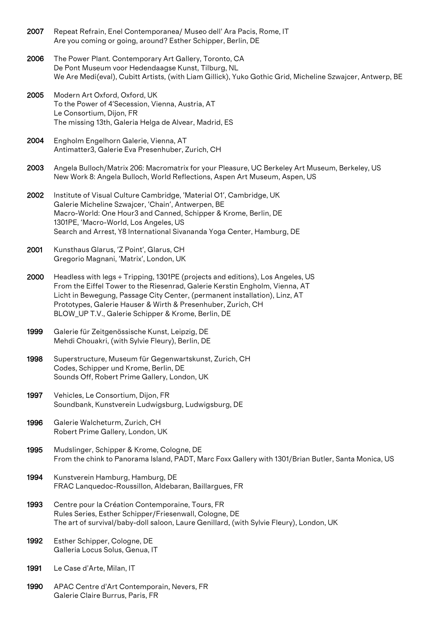- 2007 Repeat Refrain, Enel Contemporanea/ Museo dell' Ara Pacis, Rome, IT Are you coming or going, around? Esther Schipper, Berlin, DE
- 2006 The Power Plant. Contemporary Art Gallery, Toronto, CA De Pont Museum voor Hedendaagse Kunst, Tilburg, NL We Are Medi(eval), Cubitt Artists, (with Liam Gillick), Yuko Gothic Grid, Micheline Szwajcer, Antwerp, BE
- 2005 Modern Art Oxford, Oxford, UK To the Power of 4'Secession, Vienna, Austria, AT Le Consortium, Dijon, FR The missing 13th, Galeria Helga de Alvear, Madrid, ES
- 2004 Engholm Engelhorn Galerie, Vienna, AT Antimatter3, Galerie Eva Presenhuber, Zurich, CH
- 2003 Angela Bulloch/Matrix 206: Macromatrix for your Pleasure, UC Berkeley Art Museum, Berkeley, US New Work 8: Angela Bulloch, World Reflections, Aspen Art Museum, Aspen, US
- 2002 Institute of Visual Culture Cambridge, 'Material O1', Cambridge, UK Galerie Micheline Szwajcer, 'Chain', Antwerpen, BE Macro-World: One Hour3 and Canned, Schipper & Krome, Berlin, DE 1301PE, 'Macro-World, Los Angeles, US Search and Arrest, Y8 International Sivananda Yoga Center, Hamburg, DE
- 2001 Kunsthaus Glarus, 'Z Point', Glarus, CH Gregorio Magnani, 'Matrix', London, UK
- 2000 Headless with legs + Tripping, 1301PE (projects and editions), Los Angeles, US From the Eiffel Tower to the Riesenrad, Galerie Kerstin Engholm, Vienna, AT Licht in Bewegung, Passage City Center, (permanent installation), Linz, AT Prototypes, Galerie Hauser & Wirth & Presenhuber, Zurich, CH BLOW\_UP T.V., Galerie Schipper & Krome, Berlin, DE
- 1999 Galerie für Zeitgenössische Kunst, Leipzig, DE Mehdi Chouakri, (with Sylvie Fleury), Berlin, DE
- 1998 Superstructure, Museum für Gegenwartskunst, Zurich, CH Codes, Schipper und Krome, Berlin, DE Sounds Off, Robert Prime Gallery, London, UK
- 1997 Vehicles, Le Consortium, Dijon, FR Soundbank, Kunstverein Ludwigsburg, Ludwigsburg, DE
- 1996 Galerie Walcheturm, Zurich, CH Robert Prime Gallery, London, UK
- 1995 Mudslinger, Schipper & Krome, Cologne, DE From the chink to Panorama Island, PADT, Marc Foxx Gallery with 1301/Brian Butler, Santa Monica, US
- 1994 Kunstverein Hamburg, Hamburg, DE FRAC Lanquedoc-Roussillon, Aldebaran, Baillargues, FR
- 1993 Centre pour la Création Contemporaine, Tours, FR Rules Series, Esther Schipper/Friesenwall, Cologne, DE The art of survival/baby-doll saloon, Laure Genillard, (with Sylvie Fleury), London, UK
- 1992 Esther Schipper, Cologne, DE Galleria Locus Solus, Genua, IT
- 1991 Le Case d'Arte, Milan, IT
- 1990 APAC Centre d'Art Contemporain, Nevers, FR Galerie Claire Burrus, Paris, FR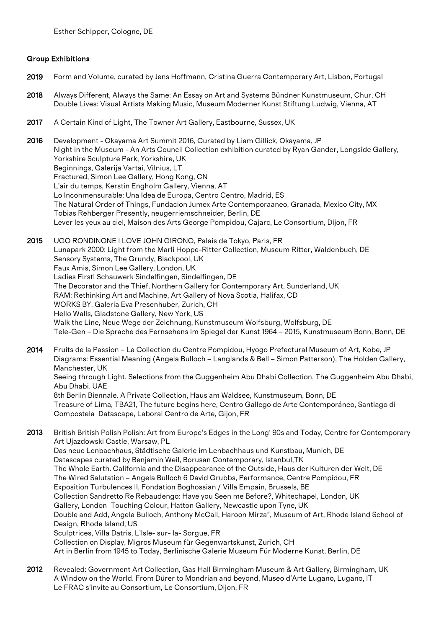# Group Exhibitions

- 2019 Form and Volume, curated by Jens Hoffmann, Cristina Guerra Contemporary Art, Lisbon, Portugal
- 2018 Always Different, Always the Same: An Essay on Art and Systems Bündner Kunstmuseum, Chur, CH Double Lives: Visual Artists Making Music, Museum Moderner Kunst Stiftung Ludwig, Vienna, AT
- 2017 A Certain Kind of Light, The Towner Art Gallery, Eastbourne, Sussex, UK

2016 Development - Okayama Art Summit 2016, Curated by Liam Gillick, Okayama, JP Night in the Museum - An Arts Council Collection exhibition curated by Ryan Gander, Longside Gallery, Yorkshire Sculpture Park, Yorkshire, UK Beginnings, Galerija Vartai, Vilnius, LT Fractured, Simon Lee Gallery, Hong Kong, CN L'air du temps, Kerstin Engholm Gallery, Vienna, AT Lo Inconmensurable: Una Idea de Europa, Centro Centro, Madrid, ES The Natural Order of Things, Fundacion Jumex Arte Contemporaaneo, Granada, Mexico City, MX Tobias Rehberger Presently, neugerriemschneider, Berlin, DE Lever les yeux au ciel, Maison des Arts George Pompidou, Cajarc, Le Consortium, Dijon, FR

2015 UGO RONDINONE I LOVE JOHN GIRONO, Palais de Tokyo, Paris, FR Lunapark 2000: Light from the Marli Hoppe-Ritter Collection, Museum Ritter, Waldenbuch, DE Sensory Systems, The Grundy, Blackpool, UK Faux Amis, Simon Lee Gallery, London, UK Ladies First! Schauwerk Sindelfingen, Sindelfingen, DE The Decorator and the Thief, Northern Gallery for Contemporary Art, Sunderland, UK RAM: Rethinking Art and Machine, Art Gallery of Nova Scotia, Halifax, CD WORKS BY. Galeria Eva Presenhuber, Zurich, CH Hello Walls, Gladstone Gallery, New York, US Walk the Line, Neue Wege der Zeichnung, Kunstmuseum Wolfsburg, Wolfsburg, DE Tele-Gen – Die Sprache des Fernsehens im Spiegel der Kunst 1964 – 2015, Kunstmuseum Bonn, Bonn, DE

2014 Fruits de la Passion – La Collection du Centre Pompidou, Hyogo Prefectural Museum of Art, Kobe, JP Diagrams: Essential Meaning (Angela Bulloch – Langlands & Bell – Simon Patterson), The Holden Gallery, Manchester, UK Seeing through Light. Selections from the Guggenheim Abu Dhabi Collection, The Guggenheim Abu Dhabi, Abu Dhabi. UAE 8th Berlin Biennale. A Private Collection, Haus am Waldsee, Kunstmuseum, Bonn, DE Treasure of Lima, TBA21, The future begins here, Centro Gallego de Arte Contemporáneo, Santiago di Compostela Datascape, Laboral Centro de Arte, Gijon, FR

- 2013 British British Polish Polish: Art from Europe's Edges in the Long' 90s and Today, Centre for Contemporary Art Ujazdowski Castle, Warsaw, PL Das neue Lenbachhaus, Städtische Galerie im Lenbachhaus und Kunstbau, Munich, DE Datascapes curated by Benjamin Weil, Borusan Contemporary, Istanbul,TK The Whole Earth. California and the Disappearance of the Outside, Haus der Kulturen der Welt, DE The Wired Salutation – Angela Bulloch 6 David Grubbs, Performance, Centre Pompidou, FR Exposition Turbulences II, Fondation Boghossian / Villa Empain, Brussels, BE Collection Sandretto Re Rebaudengo: Have you Seen me Before?, Whitechapel, London, UK Gallery, London Touching Colour, Hatton Gallery, Newcastle upon Tyne, UK Double and Add, Angela Bulloch, Anthony McCall, Haroon Mirza", Museum of Art, Rhode Island School of Design, Rhode Island, US Sculptrices, Villa Datris, L'Isle- sur- la- Sorgue, FR Collection on Display, Migros Museum für Gegenwartskunst, Zurich, CH Art in Berlin from 1945 to Today, Berlinische Galerie Museum Für Moderne Kunst, Berlin, DE
- 2012 Revealed: Government Art Collection, Gas Hall Birmingham Museum & Art Gallery, Birmingham, UK A Window on the World. From Dürer to Mondrian and beyond, Museo d'Arte Lugano, Lugano, IT Le FRAC s'invite au Consortium, Le Consortium, Dijon, FR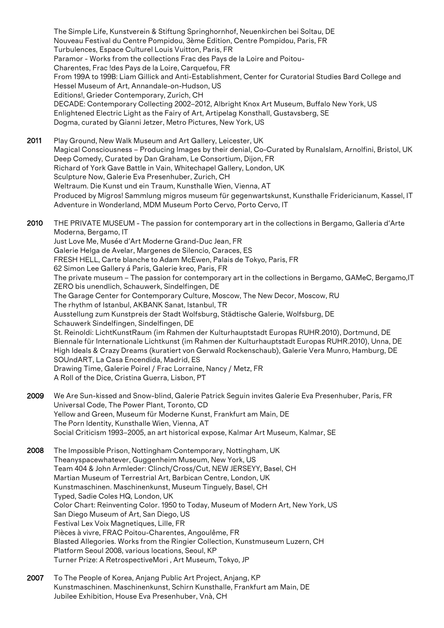The Simple Life, Kunstverein & Stiftung Springhornhof, Neuenkirchen bei Soltau, DE Nouveau Festival du Centre Pompidou, 3ème Edition, Centre Pompidou, Paris, FR Turbulences, Espace Culturel Louis Vuitton, Paris, FR Paramor - Works from the collections Frac des Pays de la Loire and Poitou-Charentes, Frac !des Pays de la Loire, Carquefou, FR From 199A to 199B: Liam Gillick and Anti-Establishment, Center for Curatorial Studies Bard College and Hessel Museum of Art, Annandale-on-Hudson, US Editions!, Grieder Contemporary, Zurich, CH DECADE: Contemporary Collecting 2002–2012, Albright Knox Art Museum, Buffalo New York, US Enlightened Electric Light as the Fairy of Art, Artipelag Konsthall, Gustavsberg, SE Dogma, curated by Gianni Jetzer, Metro Pictures, New York, US

2011 Play Ground, New Walk Museum and Art Gallery, Leicester, UK Magical Consciousness – Producing Images by their denial, Co-Curated by RunaIslam, Arnolfini, Bristol, UK Deep Comedy, Curated by Dan Graham, Le Consortium, Dijon, FR Richard of York Gave Battle in Vain, Whitechapel Gallery, London, UK Sculpture Now, Galerie Eva Presenhuber, Zurich, CH Weltraum. Die Kunst und ein Traum, Kunsthalle Wien, Vienna, AT Produced by Migros! Sammlung migros museum für gegenwartskunst, Kunsthalle Fridericianum, Kassel, IT Adventure in Wonderland, MDM Museum Porto Cervo, Porto Cervo, IT

2010 THE PRIVATE MUSEUM - The passion for contemporary art in the collections in Bergamo, Galleria d'Arte Moderna, Bergamo, IT Just Love Me, Musée d'Art Moderne Grand-Duc Jean, FR Galerie Helga de Avelar, Margenes de Silencio, Caraces, ES FRESH HELL, Carte blanche to Adam McEwen, Palais de Tokyo, Paris, FR 62 Simon Lee Gallery á Paris, Galerie kreo, Paris, FR The private museum – The passion for contemporary art in the collections in Bergamo, GAMeC, Bergamo,IT ZERO bis unendlich, Schauwerk, Sindelfingen, DE The Garage Center for Contemporary Culture, Moscow, The New Decor, Moscow, RU The rhythm of Istanbul, AKBANK Sanat, Istanbul, TR Ausstellung zum Kunstpreis der Stadt Wolfsburg, Städtische Galerie, Wolfsburg, DE Schauwerk Sindelfingen, Sindelfingen, DE St. Reinoldi: LichtKunstRaum (im Rahmen der Kulturhauptstadt Europas RUHR.2010), Dortmund, DE Biennale für Internationale Lichtkunst (im Rahmen der Kulturhauptstadt Europas RUHR.2010), Unna, DE High Ideals & Crazy Dreams (kuratiert von Gerwald Rockenschaub), Galerie Vera Munro, Hamburg, DE SOUndART, La Casa Encendida, Madrid, ES Drawing Time, Galerie Poirel / Frac Lorraine, Nancy / Metz, FR A Roll of the Dice, Cristina Guerra, Lisbon, PT

2009 We Are Sun-kissed and Snow-blind, Galerie Patrick Seguin invites Galerie Eva Presenhuber, Paris, FR Universal Code, The Power Plant, Toronto, CD Yellow and Green, Museum für Moderne Kunst, Frankfurt am Main, DE The Porn Identity, Kunsthalle Wien, Vienna, AT Social Criticism 1993–2005, an art historical expose, Kalmar Art Museum, Kalmar, SE

2008 The Impossible Prison, Nottingham Contemporary, Nottingham, UK Theanyspacewhatever, Guggenheim Museum, New York, US Team 404 & John Armleder: Clinch/Cross/Cut, NEW JERSEYY, Basel, CH Martian Museum of Terrestrial Art, Barbican Centre, London, UK Kunstmaschinen. Maschinenkunst, Museum Tinguely, Basel, CH Typed, Sadie Coles HQ, London, UK Color Chart: Reinventing Color. 1950 to Today, Museum of Modern Art, New York, US San Diego Museum of Art, San Diego, US Festival Lex Voix Magnetiques, Lille, FR Pièces à vivre, FRAC Poitou-Charentes, Angoulême, FR Blasted Allegories. Works from the Ringier Collection, Kunstmuseum Luzern, CH Platform Seoul 2008, various locations, Seoul, KP Turner Prize: A RetrospectiveMori , Art Museum, Tokyo, JP

2007 To The People of Korea, Anjang Public Art Project, Anjang, KP Kunstmaschinen. Maschinenkunst, Schirn Kunsthalle, Frankfurt am Main, DE Jubilee Exhibition, House Eva Presenhuber, Vnà, CH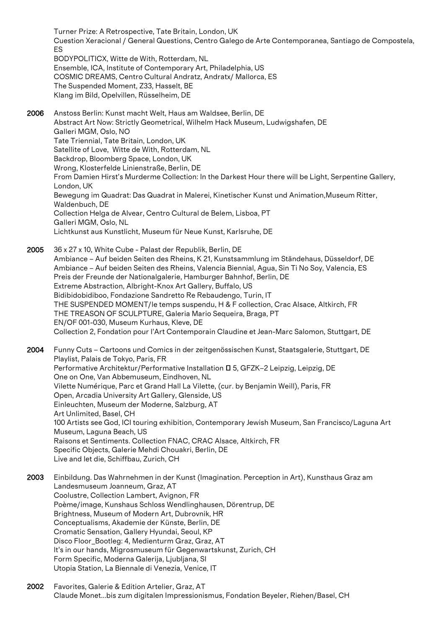Turner Prize: A Retrospective, Tate Britain, London, UK Cuestion Xeracional / General Questions, Centro Galego de Arte Contemporanea, Santiago de Compostela, ES BODYPOLITICX, Witte de With, Rotterdam, NL

Ensemble, ICA, Institute of Contemporary Art, Philadelphia, US COSMIC DREAMS, Centro Cultural Andratz, Andratx/ Mallorca, ES The Suspended Moment, Z33, Hasselt, BE Klang im Bild, Opelvillen, Rüsselheim, DE

2006 Anstoss Berlin: Kunst macht Welt, Haus am Waldsee, Berlin, DE Abstract Art Now: Strictly Geometrical, Wilhelm Hack Museum, Ludwigshafen, DE Galleri MGM, Oslo, NO Tate Triennial, Tate Britain, London, UK Satellite of Love, Witte de With, Rotterdam, NL Backdrop, Bloomberg Space, London, UK Wrong, Klosterfelde Linienstraße, Berlin, DE From Damien Hirst's Murderme Collection: In the Darkest Hour there will be Light, Serpentine Gallery, London, UK Bewegung im Quadrat: Das Quadrat in Malerei, Kinetischer Kunst und Animation,Museum Ritter, Waldenbuch, DE Collection Helga de Alvear, Centro Cultural de Belem, Lisboa, PT Galleri MGM, Oslo, NL Lichtkunst aus Kunstlicht, Museum für Neue Kunst, Karlsruhe, DE

2005 36 x 27 x 10, White Cube - Palast der Republik, Berlin, DE Ambiance – Auf beiden Seiten des Rheins, K 21, Kunstsammlung im Ständehaus, Düsseldorf, DE Ambiance – Auf beiden Seiten des Rheins, Valencia Biennial, Agua, Sin Ti No Soy, Valencia, ES Preis der Freunde der Nationalgalerie, Hamburger Bahnhof, Berlin, DE Extreme Abstraction, Albright-Knox Art Gallery, Buffalo, US Bidibidobidiboo, Fondazione Sandretto Re Rebaudengo, Turin, IT THE SUSPENDED MOMENT/le temps suspendu, H & F collection, Crac Alsace, Altkirch, FR THE TREASON OF SCULPTURE, Galeria Mario Sequeira, Braga, PT EN/OF 001-030, Museum Kurhaus, Kleve, DE Collection 2, Fondation pour l'Art Contemporain Claudine et Jean-Marc Salomon, Stuttgart, DE

2004 Funny Cuts – Cartoons und Comics in der zeitgenössischen Kunst, Staatsgalerie, Stuttgart, DE Playlist, Palais de Tokyo, Paris, FR Performative Architektur/Performative Installation 5, GFZK–2 Leipzig, Leipzig, DE One on One, Van Abbemuseum, Eindhoven, NL Vilette Numérique, Parc et Grand Hall La Vilette, (cur. by Benjamin Weill), Paris, FR Open, Arcadia University Art Gallery, Glenside, US Einleuchten, Museum der Moderne, Salzburg, AT Art Unlimited, Basel, CH 100 Artists see God, ICI touring exhibition, Contemporary Jewish Museum, San Francisco/Laguna Art Museum, Laguna Beach, US Raisons et Sentiments. Collection FNAC, CRAC Alsace, Altkirch, FR Specific Objects, Galerie Mehdi Chouakri, Berlin, DE Live and let die, Schiffbau, Zurich, CH

2003 Einbildung. Das Wahrnehmen in der Kunst (Imagination. Perception in Art), Kunsthaus Graz am Landesmuseum Joanneum, Graz, AT Coolustre, Collection Lambert, Avignon, FR Poème/image, Kunshaus Schloss Wendlinghausen, Dörentrup, DE Brightness, Museum of Modern Art, Dubrovnik, HR Conceptualisms, Akademie der Künste, Berlin, DE Cromatic Sensation, Gallery Hyundai, Seoul, KP Disco Floor\_Bootleg: 4, Medienturm Graz, Graz, AT It's in our hands, Migrosmuseum für Gegenwartskunst, Zurich, CH Form Specific, Moderna Galerija, Ljubljana, SI Utopia Station, La Biennale di Venezia, Venice, IT

2002 Favorites, Galerie & Edition Artelier, Graz, AT Claude Monet...bis zum digitalen Impressionismus, Fondation Beyeler, Riehen/Basel, CH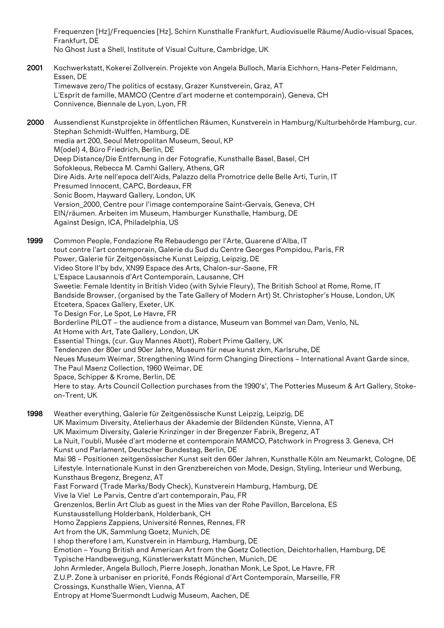Frequenzen [Hz]/Frequencies [Hz], Schirn Kunsthalle Frankfurt, Audiovisuelle Räume/Audio-visual Spaces, Frankfurt, DE No Ghost Just a Shell, Institute of Visual Culture, Cambridge, UK

2001 Kochwerkstatt, Kokerei Zollverein. Projekte von Angela Bulloch, Maria Eichhorn, Hans-Peter Feldmann, Essen, DE Timewave zero/The politics of ecstasy, Grazer Kunstverein, Graz, AT L'Esprit de famille, MAMCO (Centre d'art moderne et contemporain), Geneva, CH Connivence, Biennale de Lyon, Lyon, FR

2000 Aussendienst Kunstprojekte in öffentlichen Räumen, Kunstverein in Hamburg/Kulturbehörde Hamburg, cur. Stephan Schmidt-Wulffen, Hamburg, DE media art 200, Seoul Metropolitan Museum, Seoul, KP M(odel) 4, Büro Friedrich, Berlin, DE Deep Distance/Die Entfernung in der Fotografie, Kunsthalle Basel, Basel, CH Sofokleous, Rebecca M. Camhi Gallery, Athens, GR Dire Aids. Arte nell'epoca dell'Aids, Palazzo della Promotrice delle Belle Arti, Turin, IT Presumed Innocent, CAPC, Bordeaux, FR Sonic Boom, Hayward Gallery, London, UK Version\_2000, Centre pour l'image contemporaine Saint-Gervais, Geneva, CH EIN/räumen. Arbeiten im Museum, Hamburger Kunsthalle, Hamburg, DE Against Design, ICA, Philadelphia, US

1999 Common People, Fondazione Re Rebaudengo per l'Arte, Guarene d'Alba, IT tout contre l'art contemporain, Galerie du Sud du Centre Georges Pompidou, Paris, FR Power, Galerie für Zeitgenössische Kunst Leipzig, Leipzig, DE Video Store II'by bdv, XN99 Espace des Arts, Chalon-sur-Saone, FR L'Espace Lausannois d'Art Contemporain, Lausanne, CH Sweetie: Female Identity in British Video (with Sylvie Fleury), The British School at Rome, Rome, IT Bandside Browser, (organised by the Tate Gallery of Modern Art) St. Christopher's House, London, UK Etcetera, Spacex Gallery, Exeter, UK To Design For, Le Spot, Le Havre, FR Borderline PILOT – the audience from a distance, Museum van Bommel van Dam, Venlo, NL At Home with Art, Tate Gallery, London, UK Essential Things, (cur. Guy Mannes Abott), Robert Prime Gallery, UK Tendenzen der 80er und 90er Jahre, Museum für neue kunst zkm, Karlsruhe, DE Neues Museum Weimar, Strengthening Wind form Changing Directions – International Avant Garde since, The Paul Maenz Collection, 1960 Weimar, DE Space, Schipper & Krome, Berlin, DE Here to stay. Arts Council Collection purchases from the 1990's', The Potteries Museum & Art Gallery, Stokeon-Trent, UK

1998 Weather everything, Galerie für Zeitgenössische Kunst Leipzig, Leipzig, DE UK Maximum Diversity, Atelierhaus der Akademie der Bildenden Künste, Vienna, AT UK Maximum Diversity, Galerie Krinzinger in der Bregenzer Fabrik, Bregenz, AT La Nuit, l'oubli, Musée d'art moderne et contemporain MAMCO, Patchwork in Progress 3. Geneva, CH Kunst und Parlament, Deutscher Bundestag, Berlin, DE Mai 98 – Positionen zeitgenössischer Kunst seit den 60er Jahren, Kunsthalle Köln am Neumarkt, Cologne, DE Lifestyle. Internationale Kunst in den Grenzbereichen von Mode, Design, Styling, Interieur und Werbung, Kunsthaus Bregenz, Bregenz, AT Fast Forward (Trade Marks/Body Check), Kunstverein Hamburg, Hamburg, DE Vive la Vie! Le Parvis, Centre d'art contemporain, Pau, FR Grenzenlos, Berlin Art Club as guest in the Mies van der Rohe Pavillon, Barcelona, ES Kunstausstellung Holderbank, Holderbank, CH Homo Zappiens Zappiens, Université Rennes, Rennes, FR Art from the UK, Sammlung Goetz, Munich, DE I shop therefore I am, Kunstverein in Hamburg, Hamburg, DE Emotion – Young British and American Art from the Goetz Collection, Deichtorhallen, Hamburg, DE Typische Handbewegung, Künstlerwerkstatt München, Munich, DE John Armleder, Angela Bulloch, Pierre Joseph, Jonathan Monk, Le Spot, Le Havre, FR Z.U.P. Zone à urbaniser en priorité, Fonds Régional d'Art Contemporain, Marseille, FR Crossings, Kunsthalle Wien, Vienna, AT Entropy at Home'Suermondt Ludwig Museum, Aachen, DE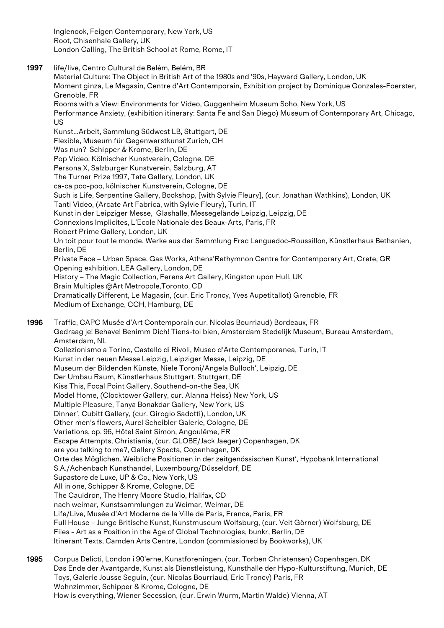Inglenook, Feigen Contemporary, New York, US Root, Chisenhale Gallery, UK London Calling, The British School at Rome, Rome, IT

- 1997 life/live, Centro Cultural de Belém, Belém, BR Material Culture: The Object in British Art of the 1980s and '90s, Hayward Gallery, London, UK Moment ginza, Le Magasin, Centre d'Art Contemporain, Exhibition project by Dominique Gonzales-Foerster, Grenoble, FR Rooms with a View: Environments for Video, Guggenheim Museum Soho, New York, US Performance Anxiety, (exhibition itinerary: Santa Fe and San Diego) Museum of Contemporary Art, Chicago, US Kunst...Arbeit, Sammlung Südwest LB, Stuttgart, DE Flexible, Museum für Gegenwarstkunst Zurich, CH Was nun? Schipper & Krome, Berlin, DE Pop Video, Kölnischer Kunstverein, Cologne, DE Persona X, Salzburger Kunstverein, Salzburg, AT The Turner Prize 1997, Tate Gallery, London, UK ca-ca poo-poo, kölnischer Kunstverein, Cologne, DE Such is Life, Serpentine Gallery, Bookshop, [with Sylvie Fleury], (cur. Jonathan Wathkins), London, UK Tanti Video, (Arcate Art Fabrica, with Sylvie Fleury), Turin, IT Kunst in der Leipziger Messe, Glashalle, Messegelände Leipzig, Leipzig, DE Connexions Implicites, L'Ecole Nationale des Beaux-Arts, Paris, FR Robert Prime Gallery, London, UK Un toit pour tout le monde. Werke aus der Sammlung Frac Languedoc-Roussillon, Künstlerhaus Bethanien, Berlin, DE Private Face – Urban Space. Gas Works, Athens'Rethymnon Centre for Contemporary Art, Crete, GR Opening exhibition, LEA Gallery, London, DE History – The Magic Collection, Ferens Art Gallery, Kingston upon Hull, UK Brain Multiples @Art Metropole,Toronto, CD Dramatically Different, Le Magasin, (cur. Eric Troncy, Yves Aupetitallot) Grenoble, FR Medium of Exchange, CCH, Hamburg, DE 1996 Traffic, CAPC Musée d'Art Contemporain cur. Nicolas Bourriaud) Bordeaux, FR Gedraag je! Behave! Benimm Dich! Tiens-toi bien, Amsterdam Stedelijk Museum, Bureau Amsterdam, Amsterdam, NL Collezionismo a Torino, Castello di Rivoli, Museo d'Arte Contemporanea, Turin, IT Kunst in der neuen Messe Leipzig, Leipziger Messe, Leipzig, DE Museum der Bildenden Künste, Niele Toroni/Angela Bulloch', Leipzig, DE Der Umbau Raum, Künstlerhaus Stuttgart, Stuttgart, DE Kiss This, Focal Point Gallery, Southend-on-the Sea, UK Model Home, (Clocktower Gallery, cur. Alanna Heiss) New York, US Multiple Pleasure, Tanya Bonakdar Gallery, New York, US Dinner', Cubitt Gallery, (cur. Girogio Sadotti), London, UK Other men's flowers, Aurel Scheibler Galerie, Cologne, DE Variations, op. 96, Hôtel Saint Simon, Angoulême, FR Escape Attempts, Christiania, (cur. GLOBE/Jack Jaeger) Copenhagen, DK are you talking to me?, Gallery Specta, Copenhagen, DK Orte des Möglichen. Weibliche Positionen in der zeitgenössischen Kunst', Hypobank International S.A./Achenbach Kunsthandel, Luxembourg/Düsseldorf, DE Supastore de Luxe, UP & Co., New York, US All in one, Schipper & Krome, Cologne, DE The Cauldron, The Henry Moore Studio, Halifax, CD nach weimar, Kunstsammlungen zu Weimar, Weimar, DE Life/Live, Musée d'Art Moderne de la Ville de Paris, France, Paris, FR Full House – Junge Britische Kunst, Kunstmuseum Wolfsburg, (cur. Veit Görner) Wolfsburg, DE Files - Art as a Position in the Age of Global Technologies, bunkr, Berlin, DE Itinerant Texts, Camden Arts Centre, London (commissioned by Bookworks), UK
- 1995 Corpus Delicti, London i 90'erne, Kunstforeningen, (cur. Torben Christensen) Copenhagen, DK Das Ende der Avantgarde, Kunst als Dienstleistung, Kunsthalle der Hypo-Kulturstiftung, Munich, DE Toys, Galerie Jousse Seguin, (cur. Nicolas Bourriaud, Eric Troncy) Paris, FR Wohnzimmer, Schipper & Krome, Cologne, DE How is everything, Wiener Secession, (cur. Erwin Wurm, Martin Walde) Vienna, AT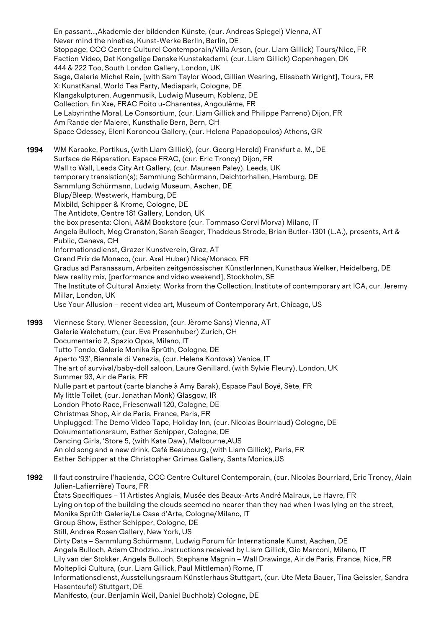En passant...,Akademie der bildenden Künste, (cur. Andreas Spiegel) Vienna, AT Never mind the nineties, Kunst-Werke Berlin, Berlin, DE Stoppage, CCC Centre Culturel Contemporain/Villa Arson, (cur. Liam Gillick) Tours/Nice, FR Faction Video, Det Kongelige Danske Kunstakademi, (cur. Liam Gillick) Copenhagen, DK 444 & 222 Too, South London Gallery, London, UK Sage, Galerie Michel Rein, [with Sam Taylor Wood, Gillian Wearing, Elisabeth Wright], Tours, FR X: KunstKanal, World Tea Party, Mediapark, Cologne, DE Klangskulpturen, Augenmusik, Ludwig Museum, Koblenz, DE Collection, fin Xxe, FRAC Poito u-Charentes, Angoulême, FR Le Labyrinthe Moral, Le Consortium, (cur. Liam Gillick and Philippe Parreno) Dijon, FR Am Rande der Malerei, Kunsthalle Bern, Bern, CH Space Odessey, Eleni Koroneou Gallery, (cur. Helena Papadopoulos) Athens, GR 1994 WM Karaoke, Portikus, (with Liam Gillick), (cur. Georg Herold) Frankfurt a. M., DE Surface de Réparation, Espace FRAC, (cur. Eric Troncy) Dijon, FR Wall to Wall, Leeds City Art Gallery, (cur. Maureen Paley), Leeds, UK temporary translation(s); Sammlung Schürmann, Deichtorhallen, Hamburg, DE Sammlung Schürmann, Ludwig Museum, Aachen, DE Blup/Bleep, Westwerk, Hamburg, DE Mixbild, Schipper & Krome, Cologne, DE The Antidote, Centre 181 Gallery, London, UK the box presenta: Cloni, A&M Bookstore (cur. Tommaso Corvi Morva) Milano, IT Angela Bulloch, Meg Cranston, Sarah Seager, Thaddeus Strode, Brian Butler-1301 (L.A.), presents, Art & Public, Geneva, CH Informationsdienst, Grazer Kunstverein, Graz, AT Grand Prix de Monaco, (cur. Axel Huber) Nice/Monaco, FR Gradus ad Paranassum, Arbeiten zeitgenössischer KünstlerInnen, Kunsthaus Welker, Heidelberg, DE New reality mix, [performance and video weekend], Stockholm, SE The Institute of Cultural Anxiety: Works from the Collection, Institute of contemporary art ICA, cur. Jeremy Millar, London, UK Use Your Allusion – recent video art, Museum of Contemporary Art, Chicago, US 1993 Viennese Story, Wiener Secession, (cur. Jèrome Sans) Vienna, AT Galerie Walchetum, (cur. Eva Presenhuber) Zurich, CH Documentario 2, Spazio Opos, Milano, IT Tutto Tondo, Galerie Monika Sprüth, Cologne, DE Aperto '93', Biennale di Venezia, (cur. Helena Kontova) Venice, IT The art of survival/baby-doll saloon, Laure Genillard, (with Sylvie Fleury), London, UK Summer 93, Air de Paris, FR Nulle part et partout (carte blanche à Amy Barak), Espace Paul Boyé, Sète, FR My little Toilet, (cur. Jonathan Monk) Glasgow, IR London Photo Race, Friesenwall 120, Cologne, DE Christmas Shop, Air de Paris, France, Paris, FR Unplugged: The Demo Video Tape, Holiday Inn, (cur. Nicolas Bourriaud) Cologne, DE Dokumentationsraum, Esther Schipper, Cologne, DE Dancing Girls, 'Store 5, (with Kate Daw), Melbourne,AUS An old song and a new drink, Café Beaubourg, (with Liam Gillick), Paris, FR Esther Schipper at the Christopher Grimes Gallery, Santa Monica,US 1992 Il faut construire l'hacienda, CCC Centre Culturel Contemporain, (cur. Nicolas Bourriard, Eric Troncy, Alain Julien-Lafierrière) Tours, FR États Specifiques – 11 Artistes Anglais, Musée des Beaux-Arts André Malraux, Le Havre, FR Lying on top of the building the clouds seemed no nearer than they had when I was lying on the street, Monika Sprüth Galerie/Le Case d'Arte, Cologne/Milano, IT Group Show, Esther Schipper, Cologne, DE Still, Andrea Rosen Gallery, New York, US Dirty Data – Sammlung Schürmann, Ludwig Forum für Internationale Kunst, Aachen, DE Angela Bulloch, Adam Chodzko...instructions received by Liam Gillick, Gio Marconi, Milano, IT

Lily van der Stokker, Angela Bulloch, Stephane Magnin – Wall Drawings, Air de Paris, France, Nice, FR Molteplici Cultura, (cur. Liam Gillick, Paul Mittleman) Rome, IT

Informationsdienst, Ausstellungsraum Künstlerhaus Stuttgart, (cur. Ute Meta Bauer, Tina Geissler, Sandra Hasenteufel) Stuttgart, DE

Manifesto, (cur. Benjamin Weil, Daniel Buchholz) Cologne, DE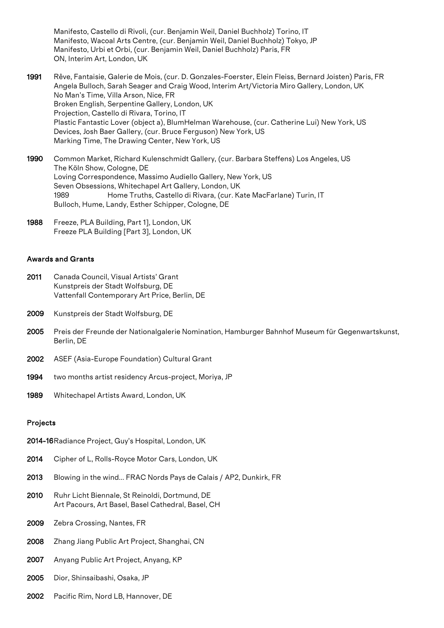Manifesto, Castello di Rivoli, (cur. Benjamin Weil, Daniel Buchholz) Torino, IT Manifesto, Wacoal Arts Centre, (cur. Benjamin Weil, Daniel Buchholz) Tokyo, JP Manifesto, Urbi et Orbi, (cur. Benjamin Weil, Daniel Buchholz) Paris, FR ON, Interim Art, London, UK

- 1991 Rêve, Fantaisie, Galerie de Mois, (cur. D. Gonzales-Foerster, Elein Fleiss, Bernard Joisten) Paris, FR Angela Bulloch, Sarah Seager and Craig Wood, Interim Art/Victoria Miro Gallery, London, UK No Man's Time, Villa Arson, Nice, FR Broken English, Serpentine Gallery, London, UK Projection, Castello di Rivara, Torino, IT Plastic Fantastic Lover (object a), BlumHelman Warehouse, (cur. Catherine Lui) New York, US Devices, Josh Baer Gallery, (cur. Bruce Ferguson) New York, US Marking Time, The Drawing Center, New York, US
- 1990 Common Market, Richard Kulenschmidt Gallery, (cur. Barbara Steffens) Los Angeles, US The Köln Show, Cologne, DE Loving Correspondence, Massimo Audiello Gallery, New York, US Seven Obsessions, Whitechapel Art Gallery, London, UK 1989 Home Truths, Castello di Rivara, (cur. Kate MacFarlane) Turin, IT Bulloch, Hume, Landy, Esther Schipper, Cologne, DE
- 1988 Freeze, PLA Building, Part 1], London, UK Freeze PLA Building [Part 3], London, UK

#### Awards and Grants

- 2011 Canada Council, Visual Artists' Grant Kunstpreis der Stadt Wolfsburg, DE Vattenfall Contemporary Art Price, Berlin, DE
- 2009 Kunstpreis der Stadt Wolfsburg, DE
- 2005 Preis der Freunde der Nationalgalerie Nomination, Hamburger Bahnhof Museum für Gegenwartskunst, Berlin, DE
- 2002 ASEF (Asia-Europe Foundation) Cultural Grant
- 1994 two months artist residency Arcus-project, Moriya, JP
- 1989 Whitechapel Artists Award, London, UK

#### Projects

- 2014-16 Radiance Project, Guy's Hospital, London, UK
- 2014 Cipher of L, Rolls-Royce Motor Cars, London, UK
- 2013 Blowing in the wind... FRAC Nords Pays de Calais / AP2, Dunkirk, FR
- 2010 Ruhr Licht Biennale, St Reinoldi, Dortmund, DE Art Pacours, Art Basel, Basel Cathedral, Basel, CH
- 2009 Zebra Crossing, Nantes, FR
- 2008 Zhang Jiang Public Art Project, Shanghai, CN
- 2007 Anyang Public Art Project, Anyang, KP
- 2005 Dior, Shinsaibashi, Osaka, JP
- 2002 Pacific Rim, Nord LB, Hannover, DE